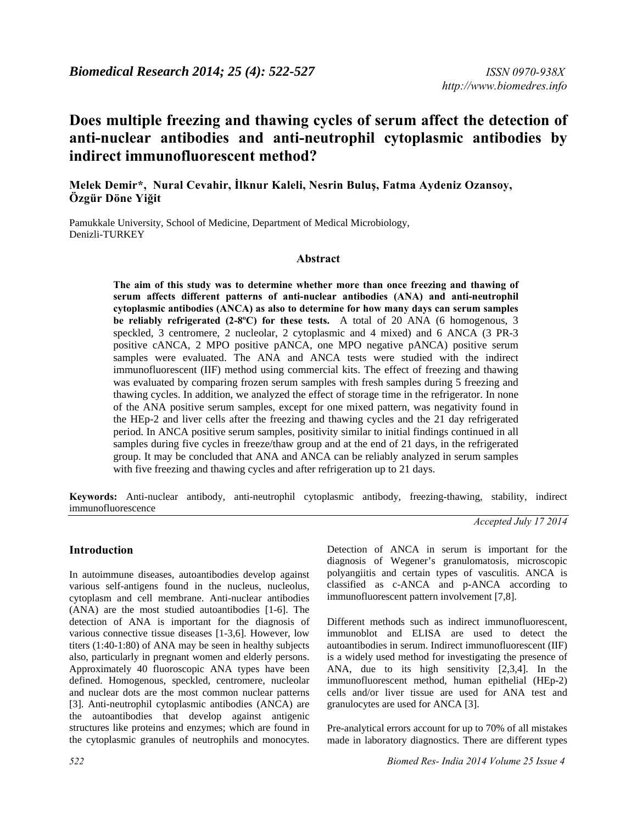# **Does multiple freezing and thawing cycles of serum affect the detection of anti-nuclear antibodies and anti-neutrophil cytoplasmic antibodies by indirect immunofluorescent method?**

# **Melek Demir\*, Nural Cevahir, İlknur Kaleli, Nesrin Buluş, Fatma Aydeniz Ozansoy, Özgür Döne Yiğit**

Pamukkale University, School of Medicine, Department of Medical Microbiology, Denizli-TURKEY

#### **Abstract**

**The aim of this study was to determine whether more than once freezing and thawing of serum affects different patterns of anti-nuclear antibodies (ANA) and anti-neutrophil cytoplasmic antibodies (ANCA) as also to determine for how many days can serum samples be reliably refrigerated (2-8ºC) for these tests.** A total of 20 ANA (6 homogenous, 3 speckled, 3 centromere, 2 nucleolar, 2 cytoplasmic and 4 mixed) and 6 ANCA (3 PR-3 positive cANCA, 2 MPO positive pANCA, one MPO negative pANCA) positive serum samples were evaluated. The ANA and ANCA tests were studied with the indirect immunofluorescent (IIF) method using commercial kits. The effect of freezing and thawing was evaluated by comparing frozen serum samples with fresh samples during 5 freezing and thawing cycles. In addition, we analyzed the effect of storage time in the refrigerator. In none of the ANA positive serum samples, except for one mixed pattern, was negativity found in the HEp-2 and liver cells after the freezing and thawing cycles and the 21 day refrigerated period. In ANCA positive serum samples, positivity similar to initial findings continued in all samples during five cycles in freeze/thaw group and at the end of 21 days, in the refrigerated group. It may be concluded that ANA and ANCA can be reliably analyzed in serum samples with five freezing and thawing cycles and after refrigeration up to 21 days.

**Keywords:** Anti-nuclear antibody, anti-neutrophil cytoplasmic antibody, freezing-thawing, stability, indirect immunofluorescence

#### **Introduction**

In autoimmune diseases, autoantibodies develop against various self-antigens found in the nucleus, nucleolus, cytoplasm and cell membrane. Anti-nuclear antibodies (ANA) are the most studied autoantibodies [1-6]. The detection of ANA is important for the diagnosis of various connective tissue diseases [1-3,6]. However, low titers (1:40-1:80) of ANA may be seen in healthy subjects also, particularly in pregnant women and elderly persons. Approximately 40 fluoroscopic ANA types have been defined. Homogenous, speckled, centromere, nucleolar and nuclear dots are the most common nuclear patterns [3]. Anti-neutrophil cytoplasmic antibodies (ANCA) are the autoantibodies that develop against antigenic structures like proteins and enzymes; which are found in the cytoplasmic granules of neutrophils and monocytes. *Accepted July 17 2014* 

Detection of ANCA in serum is important for the diagnosis of Wegener's granulomatosis, microscopic polyangiitis and certain types of vasculitis. ANCA is classified as c-ANCA and p-ANCA according to immunofluorescent pattern involvement [7,8].

Different methods such as indirect immunofluorescent, immunoblot and ELISA are used to detect the autoantibodies in serum. Indirect immunofluorescent (IIF) is a widely used method for investigating the presence of ANA, due to its high sensitivity [2,3,4]. In the immunofluorescent method, human epithelial (HEp-2) cells and/or liver tissue are used for ANA test and granulocytes are used for ANCA [3].

Pre-analytical errors account for up to 70% of all mistakes made in laboratory diagnostics. There are different types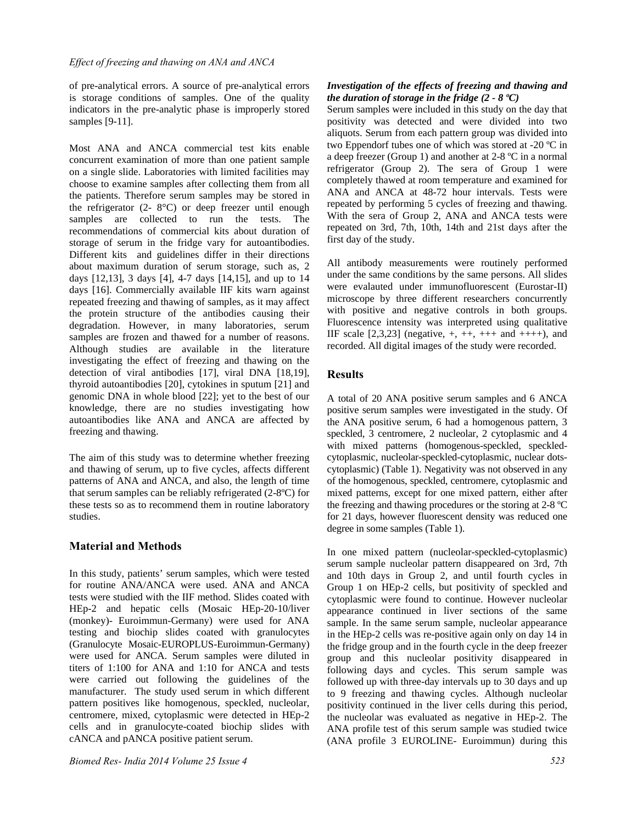of pre-analytical errors. A source of pre-analytical errors is storage conditions of samples. One of the quality indicators in the pre-analytic phase is improperly stored samples [9-11].

Most ANA and ANCA commercial test kits enable concurrent examination of more than one patient sample on a single slide. Laboratories with limited facilities may choose to examine samples after collecting them from all the patients. Therefore serum samples may be stored in the refrigerator  $(2 - 8^{\circ}C)$  or deep freezer until enough samples are collected to run the tests. The recommendations of commercial kits about duration of storage of serum in the fridge vary for autoantibodies. Different kits and guidelines differ in their directions about maximum duration of serum storage, such as, 2 days [12,13], 3 days [4], 4-7 days [14,15], and up to 14 days [16]. Commercially available IIF kits warn against repeated freezing and thawing of samples, as it may affect the protein structure of the antibodies causing their degradation. However, in many laboratories, serum samples are frozen and thawed for a number of reasons. Although studies are available in the literature investigating the effect of freezing and thawing on the detection of viral antibodies [17], viral DNA [18,19], thyroid autoantibodies [20], cytokines in sputum [21] and genomic DNA in whole blood [22]; yet to the best of our knowledge, there are no studies investigating how autoantibodies like ANA and ANCA are affected by freezing and thawing.

The aim of this study was to determine whether freezing and thawing of serum, up to five cycles, affects different patterns of ANA and ANCA, and also, the length of time that serum samples can be reliably refrigerated (2-8ºC) for these tests so as to recommend them in routine laboratory studies.

## **Material and Methods**

In this study, patients' serum samples, which were tested for routine ANA/ANCA were used. ANA and ANCA tests were studied with the IIF method. Slides coated with HEp-2 and hepatic cells (Mosaic HEp-20-10/liver (monkey)- Euroimmun-Germany) were used for ANA testing and biochip slides coated with granulocytes (Granulocyte Mosaic-EUROPLUS-Euroimmun-Germany) were used for ANCA. Serum samples were diluted in titers of 1:100 for ANA and 1:10 for ANCA and tests were carried out following the guidelines of the manufacturer. The study used serum in which different pattern positives like homogenous, speckled, nucleolar, centromere, mixed, cytoplasmic were detected in HEp-2 cells and in granulocyte-coated biochip slides with cANCA and pANCA positive patient serum.

#### *Investigation of the effects of freezing and thawing and the duration of storage in the fridge (2 - 8 ºC)*

Serum samples were included in this study on the day that positivity was detected and were divided into two aliquots. Serum from each pattern group was divided into two Eppendorf tubes one of which was stored at -20 ºC in a deep freezer (Group 1) and another at 2-8 ºC in a normal refrigerator (Group 2). The sera of Group 1 were completely thawed at room temperature and examined for ANA and ANCA at 48-72 hour intervals. Tests were repeated by performing 5 cycles of freezing and thawing. With the sera of Group 2, ANA and ANCA tests were repeated on 3rd, 7th, 10th, 14th and 21st days after the first day of the study.

All antibody measurements were routinely performed under the same conditions by the same persons. All slides were evalauted under immunofluorescent (Eurostar-II) microscope by three different researchers concurrently with positive and negative controls in both groups. Fluorescence intensity was interpreted using qualitative IIF scale  $[2,3,23]$  (negative,  $+, ++$ ,  $+++$  and  $+++$ ), and recorded. All digital images of the study were recorded.

## **Results**

A total of 20 ANA positive serum samples and 6 ANCA positive serum samples were investigated in the study. Of the ANA positive serum, 6 had a homogenous pattern, 3 speckled, 3 centromere, 2 nucleolar, 2 cytoplasmic and 4 with mixed patterns (homogenous-speckled, speckledcytoplasmic, nucleolar-speckled-cytoplasmic, nuclear dotscytoplasmic) (Table 1). Negativity was not observed in any of the homogenous, speckled, centromere, cytoplasmic and mixed patterns, except for one mixed pattern, either after the freezing and thawing procedures or the storing at 2-8 ºC for 21 days, however fluorescent density was reduced one degree in some samples (Table 1).

In one mixed pattern (nucleolar-speckled-cytoplasmic) serum sample nucleolar pattern disappeared on 3rd, 7th and 10th days in Group 2, and until fourth cycles in Group 1 on HEp-2 cells, but positivity of speckled and cytoplasmic were found to continue. However nucleolar appearance continued in liver sections of the same sample. In the same serum sample, nucleolar appearance in the HEp-2 cells was re-positive again only on day 14 in the fridge group and in the fourth cycle in the deep freezer group and this nucleolar positivity disappeared in following days and cycles. This serum sample was followed up with three-day intervals up to 30 days and up to 9 freezing and thawing cycles. Although nucleolar positivity continued in the liver cells during this period, the nucleolar was evaluated as negative in HEp-2. The ANA profile test of this serum sample was studied twice (ANA profile 3 EUROLINE- Euroimmun) during this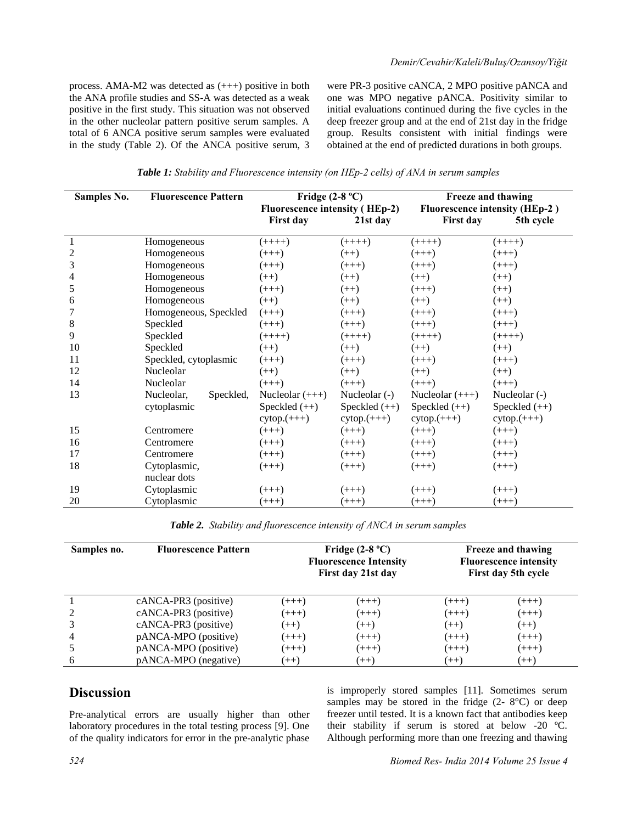process. AMA-M2 was detected as (+++) positive in both the ANA profile studies and SS-A was detected as a weak positive in the first study. This situation was not observed in the other nucleolar pattern positive serum samples. A total of 6 ANCA positive serum samples were evaluated in the study (Table 2). Of the ANCA positive serum, 3 were PR-3 positive cANCA, 2 MPO positive pANCA and one was MPO negative pANCA. Positivity similar to initial evaluations continued during the five cycles in the deep freezer group and at the end of 21st day in the fridge group. Results consistent with initial findings were obtained at the end of predicted durations in both groups.

*Table 1: Stability and Fluorescence intensity (on HEp-2 cells) of ANA in serum samples* 

| <b>Samples No.</b> | <b>Fluorescence Pattern</b> | Fridge $(2-8 °C)$                     |                 | Freeze and thawing                    |                 |
|--------------------|-----------------------------|---------------------------------------|-----------------|---------------------------------------|-----------------|
|                    |                             | <b>Fluorescence intensity (HEp-2)</b> |                 | <b>Fluorescence intensity (HEp-2)</b> |                 |
|                    |                             | <b>First day</b>                      | 21st day        | <b>First day</b>                      | 5th cycle       |
|                    | Homogeneous                 | $(++++)$                              | $(++++)$        | $(++++)$                              | $(++++)$        |
| $\overline{c}$     | Homogeneous                 | $(++)$                                | $(++)$          | $(+++)$                               | $(++)$          |
| 3                  | Homogeneous                 | $(++)$                                | $(+++)$         | $(++)$                                | $(++)$          |
| 4                  | Homogeneous                 | $(++)$                                | $(++)$          | $(++)$                                | $(++)$          |
| 5                  | Homogeneous                 | $(+++)$                               | $(++)$          | $(+++)$                               | $(++)$          |
| 6                  | Homogeneous                 | $(++)$                                | $(++)$          | $(++)$                                | $(++)$          |
|                    | Homogeneous, Speckled       | $(+++)$                               | $(+++)$         | $(+++)$                               | $(++)$          |
| 8                  | Speckled                    | $(+++)$                               | $(+++)$         | $(+++)$                               | $(++)$          |
| 9                  | Speckled                    | $(++++)$                              | $(++++)$        | $(++++)$                              | $(++++)$        |
| 10                 | Speckled                    | $(++)$                                | $(++)$          | $(++)$                                | $(++)$          |
| 11                 | Speckled, cytoplasmic       | $(+++)$                               | $(+++)$         | $(+++)$                               | $(++)$          |
| 12                 | Nucleolar                   | $(++)$                                | $(++)$          | $(++)$                                | $(++)$          |
| 14                 | Nucleolar                   | $(+++)$                               | $(+++)$         | $(+++)$                               | $(+++)$         |
| 13                 | Nucleolar,<br>Speckled,     | Nucleolar $(++)$                      | Nucleolar (-)   | Nucleolar $(++)$                      | Nucleolar $(-)$ |
|                    | cytoplasmic                 | Speckled $(++)$                       | Speckled $(++)$ | Speckled $(++)$                       | Speckled (++)   |
|                    |                             | $cytop. (+++)$                        | $cytop. (+++)$  | $cytop. (+++)$                        | $cytop. (+++)$  |
| 15                 | Centromere                  | $(+++)$                               | $(+++)$         | $(++)$                                | $(++)$          |
| 16                 | Centromere                  | $(++)$                                | $(+++)$         | $(+++)$                               | $(+++)$         |
| 17                 | Centromere                  | $(++)$                                | $(+++)$         | $(+++)$                               | $(++)$          |
| 18                 | Cytoplasmic,                | $(++)$                                | $(+++)$         | $(++)$                                | $(++)$          |
|                    | nuclear dots                |                                       |                 |                                       |                 |
| 19                 | Cytoplasmic                 | $(+++)$                               | $(+++)$         | $(+++)$                               | $(+++)$         |
| 20                 | Cytoplasmic                 | $(++)$                                | $(++)$          | $(++)$                                | $(++)$          |

*Table 2. Stability and fluorescence intensity of ANCA in serum samples* 

| Samples no.    | <b>Fluorescence Pattern</b> | Fridge $(2-8 °C)$<br><b>Fluorescence Intensity</b><br>First day 21st day |         | <b>Freeze and thawing</b><br><b>Fluorescence intensity</b><br>First day 5th cycle |         |
|----------------|-----------------------------|--------------------------------------------------------------------------|---------|-----------------------------------------------------------------------------------|---------|
|                | $cANCA-PR3$ (positive)      | $(+++)$                                                                  | $(+++)$ | $(++)$                                                                            | $(+++)$ |
|                | cANCA-PR3 (positive)        | $(+++)$                                                                  | $(+++)$ | $(++)$                                                                            | $(+++)$ |
|                | cANCA-PR3 (positive)        | $(++)$                                                                   | $(++)$  | $(++)$                                                                            | $(++)$  |
| $\overline{4}$ | pANCA-MPO (positive)        | $(++)$                                                                   | $(+++)$ | $(++)$                                                                            | $(+++)$ |
|                | pANCA-MPO (positive)        | $(+++)$                                                                  | $(+++)$ | $(+++)$                                                                           | $(++)$  |
| -6             | pANCA-MPO (negative)        | $(++)$                                                                   | $(++)$  | $(++)$                                                                            | $(++)$  |

# **Discussion**

Pre-analytical errors are usually higher than other laboratory procedures in the total testing process [9]. One of the quality indicators for error in the pre-analytic phase

is improperly stored samples [11]. Sometimes serum samples may be stored in the fridge  $(2 - 8^{\circ}C)$  or deep freezer until tested. It is a known fact that antibodies keep their stability if serum is stored at below -20 ºC. Although performing more than one freezing and thawing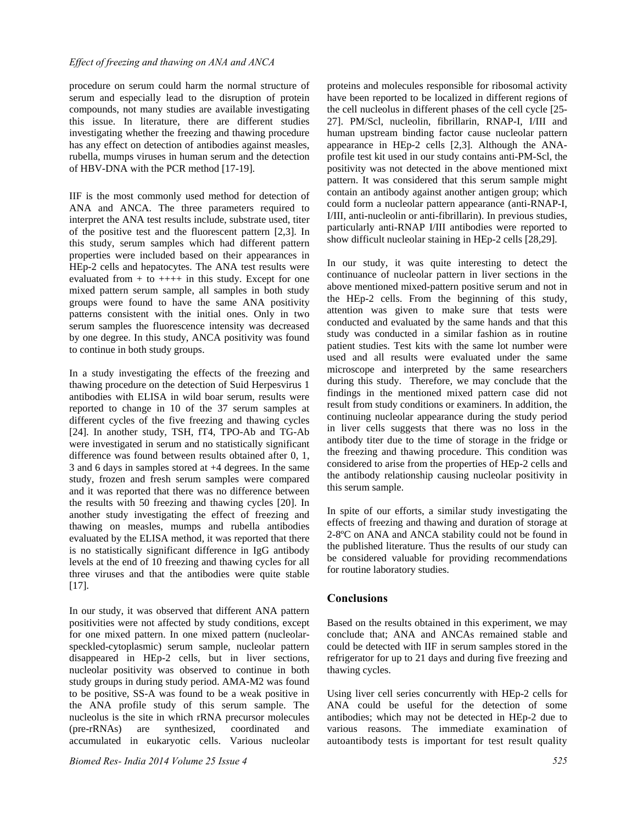procedure on serum could harm the normal structure of serum and especially lead to the disruption of protein compounds, not many studies are available investigating this issue. In literature, there are different studies investigating whether the freezing and thawing procedure has any effect on detection of antibodies against measles, rubella, mumps viruses in human serum and the detection of HBV-DNA with the PCR method [17-19].

IIF is the most commonly used method for detection of ANA and ANCA. The three parameters required to interpret the ANA test results include, substrate used, titer of the positive test and the fluorescent pattern [2,3]. In this study, serum samples which had different pattern properties were included based on their appearances in HEp-2 cells and hepatocytes. The ANA test results were evaluated from  $+$  to  $++++$  in this study. Except for one mixed pattern serum sample, all samples in both study groups were found to have the same ANA positivity patterns consistent with the initial ones. Only in two serum samples the fluorescence intensity was decreased by one degree. In this study, ANCA positivity was found to continue in both study groups.

In a study investigating the effects of the freezing and thawing procedure on the detection of Suid Herpesvirus 1 antibodies with ELISA in wild boar serum, results were reported to change in 10 of the 37 serum samples at different cycles of the five freezing and thawing cycles [24]. In another study, TSH, fT4, TPO-Ab and TG-Ab were investigated in serum and no statistically significant difference was found between results obtained after 0, 1, 3 and 6 days in samples stored at +4 degrees. In the same study, frozen and fresh serum samples were compared and it was reported that there was no difference between the results with 50 freezing and thawing cycles [20]. In another study investigating the effect of freezing and thawing on measles, mumps and rubella antibodies evaluated by the ELISA method, it was reported that there is no statistically significant difference in IgG antibody levels at the end of 10 freezing and thawing cycles for all three viruses and that the antibodies were quite stable [17].

In our study, it was observed that different ANA pattern positivities were not affected by study conditions, except for one mixed pattern. In one mixed pattern (nucleolarspeckled-cytoplasmic) serum sample, nucleolar pattern disappeared in HEp-2 cells, but in liver sections, nucleolar positivity was observed to continue in both study groups in during study period. AMA-M2 was found to be positive, SS-A was found to be a weak positive in the ANA profile study of this serum sample. The nucleolus is the site in which rRNA precursor molecules (pre-rRNAs) are synthesized, coordinated and accumulated in eukaryotic cells. Various nucleolar

proteins and molecules responsible for ribosomal activity have been reported to be localized in different regions of the cell nucleolus in different phases of the cell cycle [25- 27]. PM/Scl, nucleolin, fibrillarin, RNAP-I, I/III and human upstream binding factor cause nucleolar pattern appearance in HEp-2 cells [2,3]. Although the ANAprofile test kit used in our study contains anti-PM-Scl, the positivity was not detected in the above mentioned mixt pattern. It was considered that this serum sample might contain an antibody against another antigen group; which could form a nucleolar pattern appearance (anti-RNAP-I, I/III, anti-nucleolin or anti-fibrillarin). In previous studies, particularly anti-RNAP I/III antibodies were reported to show difficult nucleolar staining in HEp-2 cells [28,29].

In our study, it was quite interesting to detect the continuance of nucleolar pattern in liver sections in the above mentioned mixed-pattern positive serum and not in the HEp-2 cells. From the beginning of this study, attention was given to make sure that tests were conducted and evaluated by the same hands and that this study was conducted in a similar fashion as in routine patient studies. Test kits with the same lot number were used and all results were evaluated under the same microscope and interpreted by the same researchers during this study. Therefore, we may conclude that the findings in the mentioned mixed pattern case did not result from study conditions or examiners. In addition, the continuing nucleolar appearance during the study period in liver cells suggests that there was no loss in the antibody titer due to the time of storage in the fridge or the freezing and thawing procedure. This condition was considered to arise from the properties of HEp-2 cells and the antibody relationship causing nucleolar positivity in this serum sample.

In spite of our efforts, a similar study investigating the effects of freezing and thawing and duration of storage at 2-8ºC on ANA and ANCA stability could not be found in the published literature. Thus the results of our study can be considered valuable for providing recommendations for routine laboratory studies.

## **Conclusions**

Based on the results obtained in this experiment, we may conclude that; ANA and ANCAs remained stable and could be detected with IIF in serum samples stored in the refrigerator for up to 21 days and during five freezing and thawing cycles.

Using liver cell series concurrently with HEp-2 cells for ANA could be useful for the detection of some antibodies; which may not be detected in HEp-2 due to various reasons. The immediate examination of autoantibody tests is important for test result quality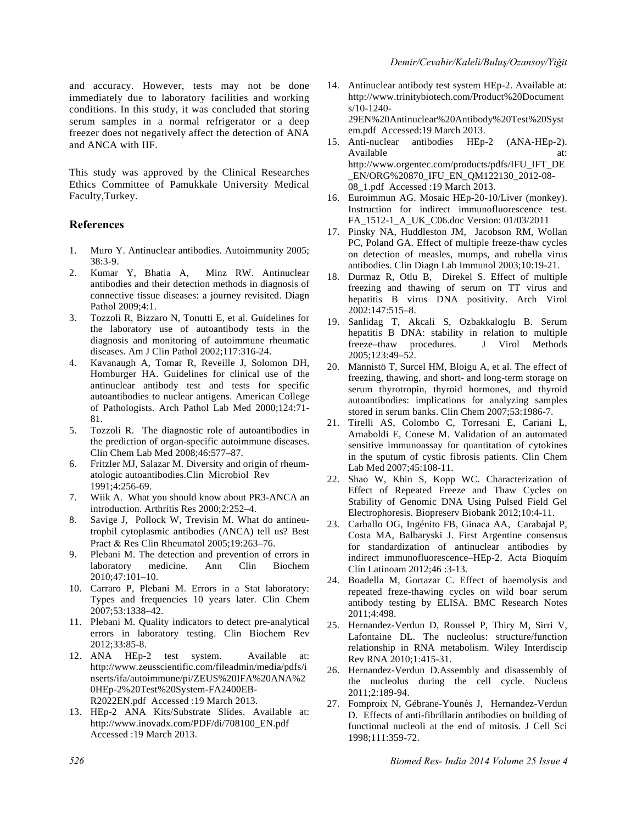and accuracy. However, tests may not be done immediately due to laboratory facilities and working conditions. In this study, it was concluded that storing serum samples in a normal refrigerator or a deep freezer does not negatively affect the detection of ANA and ANCA with IIF.

This study was approved by the Clinical Researches Ethics Committee of Pamukkale University Medical Faculty,Turkey.

#### **References**

- 1. Muro Y. Antinuclear antibodies. Autoimmunity 2005; 38:3-9.<br>Kumar Y, Bhatia A,
- 2. Kumar Y, Bhatia A, Minz RW. Antinuclear antibodies and their detection methods in diagnosis of connective tissue diseases: a journey revisited. Diagn Pathol 2009;4:1.
- 3. Tozzoli R, Bizzaro N, Tonutti E, et al. Guidelines for the laboratory use of autoantibody tests in the diagnosis and monitoring of autoimmune rheumatic diseases. Am J Clin Pathol 2002;117:316-24.
- 4. Kavanaugh A, Tomar R, Reveille J, Solomon DH, Homburger HA. Guidelines for clinical use of the antinuclear antibody test and tests for specific autoantibodies to nuclear antigens. American College of Pathologists. Arch Pathol Lab Med 2000;124:71- 81.
- 5. Tozzoli R. The diagnostic role of autoantibodies in the prediction of organ-specific autoimmune diseases. Clin Chem Lab Med 2008;46:577–87.
- 6. Fritzler MJ, Salazar M. Diversity and origin of rheumatologic autoantibodies.Clin Microbiol Rev 1991;4:256-69.
- 7. Wiik A. What you should know about PR3-ANCA an introduction. Arthritis Res 2000;2:252–4.
- 8. Savige J, Pollock W, Trevisin M. What do antineutrophil cytoplasmic antibodies (ANCA) tell us? Best Pract & Res Clin Rheumatol 2005;19:263-76.
- 9. Plebani M. The detection and prevention of errors in laboratory medicine. Ann Clin Biochem 2010;47:101–10.
- 10. Carraro P, Plebani M. Errors in a Stat laboratory: Types and frequencies 10 years later. Clin Chem 2007;53:1338–42.
- 11. Plebani M. Quality indicators to detect pre-analytical errors in laboratory testing. Clin Biochem Rev 2012;33:85-8.
- 12. ANA HEp-2 test system. Available at: http://www.zeusscientific.com/fileadmin/media/pdfs/i nserts/ifa/autoimmune/pi/ZEUS%20IFA%20ANA%2 0HEp-2%20Test%20System-FA2400EB-R2022EN.pdf Accessed :19 March 2013.
- 13. HEp-2 ANA Kits/Substrate Slides. Available at: http://www.inovadx.com/PDF/di/708100\_EN.pdf Accessed :19 March 2013.
- 14. Antinuclear antibody test system HEp-2. Available at: http://www.trinitybiotech.com/Product%20Document s/10-1240- 29EN%20Antinuclear%20Antibody%20Test%20Syst em.pdf Accessed:19 March 2013.
- 15. Anti-nuclear antibodies HEp-2 (ANA-HEp-2). Available at: at: http://www.orgentec.com/products/pdfs/IFU\_IFT\_DE \_EN/ORG%20870\_IFU\_EN\_QM122130\_2012-08- 08\_1.pdf Accessed :19 March 2013.
- 16. Euroimmun AG. Mosaic HEp-20-10/Liver (monkey). Instruction for indirect immunofluorescence test. FA\_1512-1\_A\_UK\_C06.doc Version: 01/03/2011
- 17. Pinsky NA, Huddleston JM, Jacobson RM, Wollan PC, Poland GA. Effect of multiple freeze-thaw cycles on detection of measles, mumps, and rubella virus antibodies. Clin Diagn Lab Immunol 2003;10:19-21.
- 18. Durmaz R, Otlu B, Direkel S. Effect of multiple freezing and thawing of serum on TT virus and hepatitis B virus DNA positivity. Arch Virol 2002:147:515–8.
- 19. Sanlidag T, Akcali S, Ozbakkaloglu B. Serum hepatitis B DNA: stability in relation to multiple freeze–thaw procedures. J Virol Methods 2005;123:49–52.
- 20. Männistö T, Surcel HM, Bloigu A, et al. The effect of freezing, thawing, and short- and long-term storage on serum thyrotropin, thyroid hormones, and thyroid autoantibodies: implications for analyzing samples stored in serum banks. Clin Chem 2007;53:1986-7.
- 21. Tirelli AS, Colombo C, Torresani E, Cariani L, Arnaboldi E, Conese M. Validation of an automated sensitive immunoassay for quantitation of cytokines in the sputum of cystic fibrosis patients. Clin Chem Lab Med 2007;45:108-11.
- 22. Shao W, Khin S, Kopp WC. Characterization of Effect of Repeated Freeze and Thaw Cycles on Stability of Genomic DNA Using Pulsed Field Gel Electrophoresis. Biopreserv Biobank 2012;10:4-11.
- 23. Carballo OG, Ingénito FB, Ginaca AA, Carabajal P, Costa MA, Balbaryski J. First Argentine consensus for standardization of antinuclear antibodies by indirect immunofluorescence–HEp-2. Acta Bioquím Clín Latinoam 2012;46 :3-13.
- 24. Boadella M, Gortazar C. Effect of haemolysis and repeated freze-thawing cycles on wild boar serum antibody testing by ELISA. BMC Research Notes 2011;4:498.
- 25. Hernandez-Verdun D, Roussel P, Thiry M, Sirri V, Lafontaine DL. The nucleolus: structure/function relationship in RNA metabolism. Wiley Interdiscip Rev RNA 2010;1:415-31.
- 26. Hernandez-Verdun D.Assembly and disassembly of the nucleolus during the cell cycle. Nucleus 2011;2:189-94.
- 27. Fomproix N, Gébrane-Younès J, Hernandez-Verdun D. Effects of anti-fibrillarin antibodies on building of functional nucleoli at the end of mitosis. J Cell Sci 1998;111:359-72.